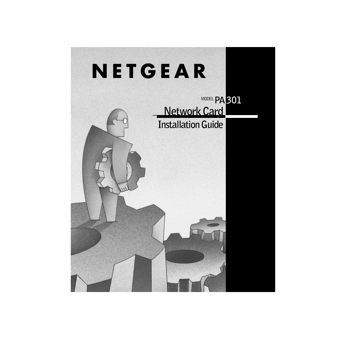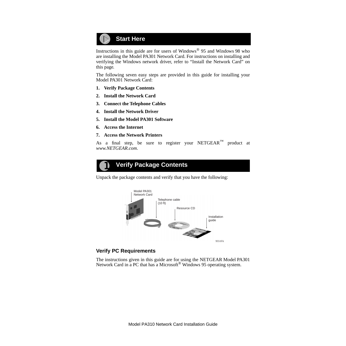

Instructions in this guide are for users of Windows® 95 and Windows 98 who are installing the Model PA301 Network Card. For instructions on installing and verifying the Windows network driver, refer to "Install the Network Card" on this page*.*

The following seven easy steps are provided in this guide for installing your Model PA301 Network Card:

- **1. Verify Package Contents**
- **2. Install the Network Card**
- **3. Connect the Telephone Cables**
- **4. Install the Network Driver**
- **5. Install the Model PA301 Software**
- **6. Access the Internet**
- **7. Access the Network Printers**

As a final step, be sure to register your NETGEAR<sup>™</sup> product at *www.NETGEAR.com*.



Unpack the package contents and verify that you have the following:



#### **Verify PC Requirements**

The instructions given in this guide are for using the NETGEAR Model PA301 Network Card in a PC that has a Microsoft<sup>®</sup> Windows 95 operating system.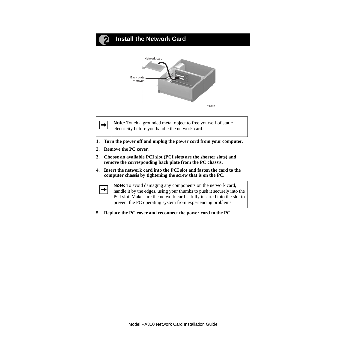## **Install the Network Card**



**Note:** Touch a grounded metal object to free yourself of static electricity before you handle the network card.

- **1. Turn the power off and unplug the power cord from your computer.**
- **2. Remove the PC cover.**

 $\rightarrow$ 

- **3. Choose an available PCI slot (PCI slots are the shorter slots) and remove the corresponding back plate from the PC chassis.**
- **4. Insert the network card into the PCI slot and fasten the card to the computer chassis by tightening the screw that is on the PC.**

**Note:** To avoid damaging any components on the network card,  $\rightarrow$ handle it by the edges, using your thumbs to push it securely into the PCI slot. Make sure the network card is fully inserted into the slot to prevent the PC operating system from experiencing problems.

**5. Replace the PC cover and reconnect the power cord to the PC.**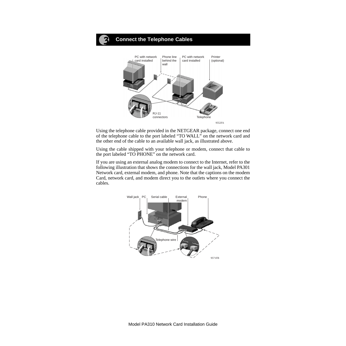

Using the telephone cable provided in the NETGEAR package, connect one end of the telephone cable to the port labeled "TO WALL" on the network card and the other end of the cable to an available wall jack, as illustrated above.

Using the cable shipped with your telephone or modem, connect that cable to the port labeled "TO PHONE" on the network card.

If you are using an external analog modem to connect to the Internet, refer to the following illustration that shows the connections for the wall jack, Model PA301 Network card, external modem, and phone. Note that the captions on the modem Card, network card, and modem direct you to the outlets where you connect the cables.

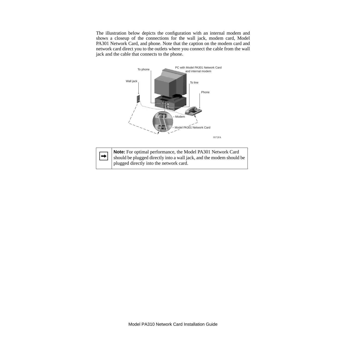The illustration below depicts the configuration with an internal modem and shows a closeup of the connections for the wall jack, modem card, Model PA301 Network Card, and phone. Note that the caption on the modem card and network card direct you to the outlets where you connect the cable from the wall jack and the cable that connects to the phone.



| Note: For optimal performance, the Model PA301 Network Card                                                                                |
|--------------------------------------------------------------------------------------------------------------------------------------------|
| <b>Note:</b> For optimal performance, the Model PA301 Network Card<br>should be plugged directly into a wall jack, and the modem should be |
| plugged directly into the network card.                                                                                                    |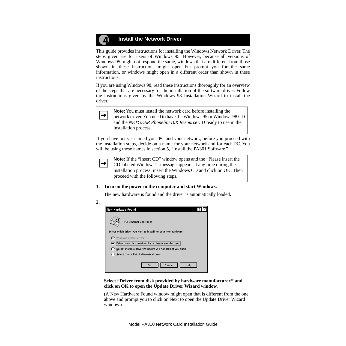#### **Install the Network Driver** Д,

This guide provides instructions for installing the Windows Network Driver. The steps given are for users of Windows 95. However, because all versions of Windows 95 might not respond the same, windows that are different from those shown in these instructions might open but prompt you for the same information, or windows might open in a different order than shown in these instructions.

If you are using Windows 98, read these instructions thoroughly for an overview of the steps that are necessary for the installation of the software driver. Follow the instructions given by the Windows 98 Installation Wizard to install the driver.



**Note:** You must install the network card before installing the network driver. You need to have the Windows 95 or Windows 98 CD and the *NETGEAR Phoneline10X Resource* CD ready to use in the installation process.

If you have not yet named your PC and your network, before you proceed with the installation steps, decide on a name for your network and for each PC. You will be using these names in section 5, "Install the PA301 Software."



**Note:** If the "Insert CD" window opens and the "Please insert the CD labeled Windows"...message appears at any time during the installation process, insert the Windows CD and click on OK. Then proceed with the following steps.

#### **1. Turn on the power to the computer and start Windows.**

The new hardware is found and the driver is automatically loaded.

| ٦<br>ı |        |
|--------|--------|
|        | ٠<br>× |

| <b>New Hardware Found</b>                                                    |
|------------------------------------------------------------------------------|
| <b>PCI Ethernet Controller</b>                                               |
| Select which driver you want to install for your new hardware:               |
| Windows default driver                                                       |
| $\langle \bullet \rangle$ Driver from disk provided by hardware manufacturer |
| Do not install a driver (Windows will not prompt you again)                  |
| Select from a list of alternate dirvers                                      |
| Cancel<br>Help<br>OK                                                         |

#### **Select "Driver from disk provided by hardware manufacturer," and click on OK to open the Update Driver Wizard window.**

(A New Hardware Found window might open that is different from the one above and prompt you to click on Next to open the Update Driver Wizard window.)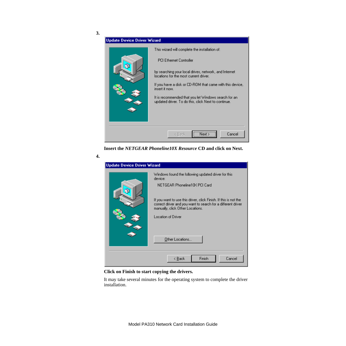

**Insert the** *NETGEAR Phoneline10X Resource* **CD and click on Next.**



#### **Click on Finish to start copying the drivers.**

It may take several minutes for the operating system to complete the driver installation.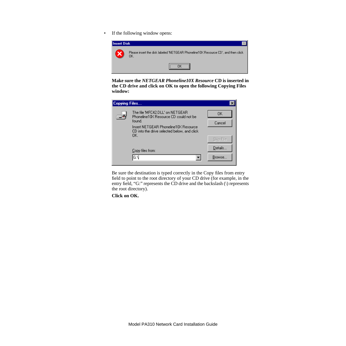• If the following window opens:



**Make sure the** *NETGEAR Phoneline10X Resource* **CD is inserted in the CD drive and click on OK to open the following Copying Files window:**

| <b>Copying Files</b> |                                                                                                                                                                                  |                           |
|----------------------|----------------------------------------------------------------------------------------------------------------------------------------------------------------------------------|---------------------------|
|                      | The file 'MFC42.DLL' on NETGEAR<br>Phoneline10X Resource CD could not be<br>found.<br>Insert NETGEAR Phoneline10X Resource<br>CD into the drive selected below, and click<br>OK. | OΚ<br>Cancel<br>Skip File |
|                      | Copy files from:<br>lG:N                                                                                                                                                         | Details<br>Browse         |

Be sure the destination is typed correctly in the Copy files from entry field to point to the root directory of your CD drive (for example, in the entry field, "G:" represents the CD drive and the backslash (\) represents the root directory).

**Click on OK.**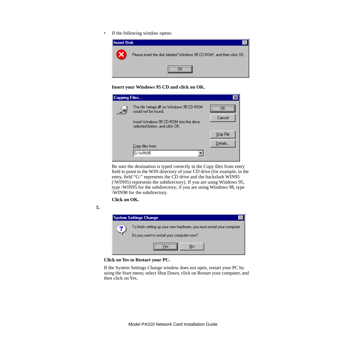• If the following window opens:



**Insert your Windows 95 CD and click on OK.**

| Copying Files |                                                                                                                                               |                      |
|---------------|-----------------------------------------------------------------------------------------------------------------------------------------------|----------------------|
|               | The file 'netapi.dll' on Windows 95 CD-ROM<br>could not be found.<br>Insert Windows 95 CD-ROM into the drive<br>selected below, and click OK. | Cancel               |
|               | Copy files from:<br>G:\WIN95                                                                                                                  | Skip File<br>Details |

Be sure the destination is typed correctly in the Copy files from entry field to point to the WIN directory of your CD drive (for example, in the entry, field "G:" represents the CD drive and the backslash WIN95 (\WIN95) represents the subdirectory). If you are using Windows 95, type \WIN95 for the subdirectory; if you are using Windows 98, type \WIN98 for the subdirectory.

**Click on OK.**





#### **Click on Yes to Restart your PC.**

If the System Settings Change window does not open, restart your PC by using the Start menu; select Shut Down, click on Restart your computer, and then click on Yes.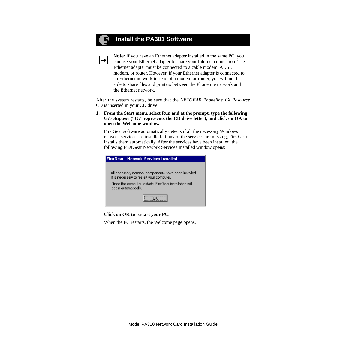# **Install the PA301 Software**

 $\rightarrow$ 

**Note:** If you have an Ethernet adapter installed in the same PC, you can use your Ethernet adapter to share your Internet connection. The Ethernet adapter must be connected to a cable modem, ADSL modem, or router. However, if your Ethernet adapter is connected to an Ethernet network instead of a modem or router, you will not be able to share files and printers between the Phoneline network and the Ethernet network.

After the system restarts, be sure that the *NETGEAR Phoneline10X Resource* CD is inserted in your CD drive.

#### **1. From the Start menu, select Run and at the prompt, type the following: G:\setup.exe ("G:" represents the CD drive letter), and click on OK to open the Welcome window.**

FirstGear software automatically detects if all the necessary Windows network services are installed. If any of the services are missing, FirstGear installs them automatically. After the services have been installed, the following FirstGear Network Services Installed window opens:

| FirstGear - Network Services Installed                                                             |  |  |
|----------------------------------------------------------------------------------------------------|--|--|
|                                                                                                    |  |  |
| All necessary network components have been installed.<br>It is necessary to restart your computer. |  |  |
| Once the computer restarts, FirstGear installation will<br>begin automatically.                    |  |  |
|                                                                                                    |  |  |

#### **Click on OK to restart your PC.**

When the PC restarts, the Welcome page opens.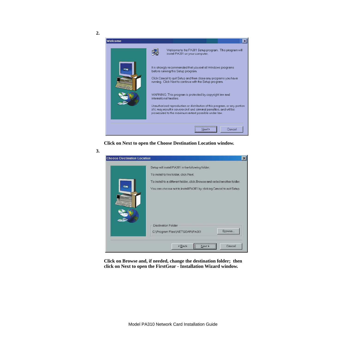



**Click on Next to open the Choose Destination Location window.**

| <b>Choose Destination Location</b> |                                                                           |  |
|------------------------------------|---------------------------------------------------------------------------|--|
|                                    | Setup will install PA301 in the following folder.                         |  |
|                                    | To install to this folder, click Next.                                    |  |
|                                    | To install to a different folder, click Browse and select another folder. |  |
|                                    | You can choose not to install PA301 by clicking Cancel to exit Setup.     |  |
|                                    | Destination Folder<br>Browse<br>C:\Program Files\NETGEAR\PA301            |  |
|                                    | <back<br>Cancel<br/>Next &gt;</back<br>                                   |  |

**Click on Browse and, if needed, change the destination folder; then click on Next to open the FirstGear - Installation Wizard window.**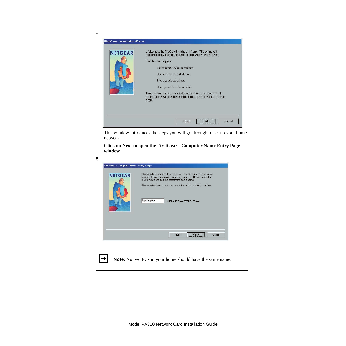

This window introduces the steps you will go through to set up your home network.

**Click on Next to open the FirstGear - Computer Name Entry Page window.**

| <b>NETGEAR</b> | Please enter a name for this computer. The Computer Name is used.<br>to uniquely identify each computer in your home. No two computers<br>in your hame should have exactly the same name.<br>Please enter the computer name and then click on Next to continue. |  |
|----------------|-----------------------------------------------------------------------------------------------------------------------------------------------------------------------------------------------------------------------------------------------------------------|--|
|                | <b>MyComputer</b><br>Enter a unique computer name                                                                                                                                                                                                               |  |
|                |                                                                                                                                                                                                                                                                 |  |

|  | $\rightarrow$ Note: No two PCs in your home should have the same name. |
|--|------------------------------------------------------------------------|
|--|------------------------------------------------------------------------|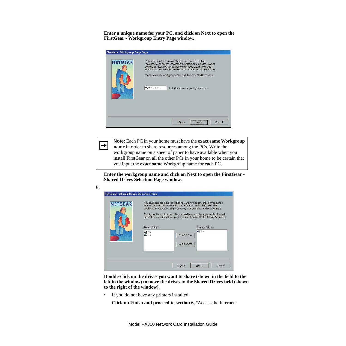**Enter a unique name for your PC, and click on Next to open the FirstGear - Workgroup Entry Page window.**

| <b>NETGEAR</b> | PCs belonging to a common Workgroup are able to share<br>resources such as files, applications, printers and even the Internet<br>connection. Each PC in your home must have exactly the same<br>Workgroup name in order to share resources amongst one another.<br>Please enter the Workgroup name and then click Next to continue. |  |
|----------------|--------------------------------------------------------------------------------------------------------------------------------------------------------------------------------------------------------------------------------------------------------------------------------------------------------------------------------------|--|
|                | MyWorkgroup<br>Enter the common Workgroup name                                                                                                                                                                                                                                                                                       |  |
|                |                                                                                                                                                                                                                                                                                                                                      |  |

**Note:** Each PC in your home must have the **exact same Workgroup**   $\rightarrow$ **name** in order to share resources among the PCs. Write the workgroup name on a sheet of paper to have available when you install FirstGear on all the other PCs in your home to be certain that you input the **exact same** Workgroup name for each PC.

**Enter the workgroup name and click on Next to open the FirstGear - Shared Drives Selection Page window.**

| <b>NETGEAR</b> | Private Drives:<br>$-9A$<br>l®n\ | You can share the drives (hard drive, CD-ROM, floppy, etc.) on this system<br>with all other PCs in your home. This means you can share files and<br>applications, such as word processors, spreadsheets and even games.<br>Simply double-click on the drive and it will move to the adjacent list Hypu do<br>not wish to share the drive, make sure it is displayed in the Private Drives List.<br>Shared Drives:<br>$C\setminus$<br>SHARED >><br><< PRIVATE |
|----------------|----------------------------------|---------------------------------------------------------------------------------------------------------------------------------------------------------------------------------------------------------------------------------------------------------------------------------------------------------------------------------------------------------------------------------------------------------------------------------------------------------------|
|                |                                  |                                                                                                                                                                                                                                                                                                                                                                                                                                                               |

**Double-click on the drives you want to share (shown in the field to the left in the window) to move the drives to the Shared Drives field (shown to the right of the window).** 

• If you do not have any printers installed:

**6.**

**Click on Finish and proceed to section 6,** "Access the Internet."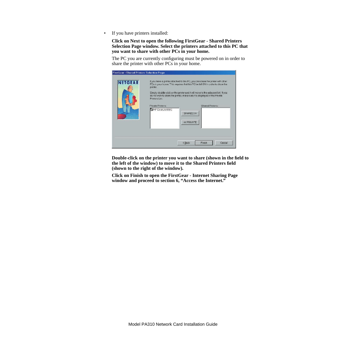• If you have printers installed:

**Click on Next to open the following FirstGear - Shared Printers Selection Page window. Select the printers attached to this PC that you want to share with other PCs in your home.**

The PC you are currently configuring must be powered on in order to share the printer with other PCs in your home.

| <b>NETGEAR</b> | If you have a printer attached to this PC, you can share the printer with other<br>PCs in your home. This requires that this PC be left ON in order to share the<br>printer.<br>Simply double-click on the printer and it will move to the adjacent list. If you<br>do not wish to share the printer, make sure it is displayed in the Private<br>Printers List. |                                             |
|----------------|------------------------------------------------------------------------------------------------------------------------------------------------------------------------------------------------------------------------------------------------------------------------------------------------------------------------------------------------------------------|---------------------------------------------|
|                | Private Printers:<br>HP DeskJet 850C                                                                                                                                                                                                                                                                                                                             | Shared Printers:<br>SHARED >><br><< PRIVATE |
|                |                                                                                                                                                                                                                                                                                                                                                                  | Cancel<br><back<br>Finish</back<br>         |

**Double-click on the printer you want to share (shown in the field to the left of the window) to move it to the Shared Printers field (shown to the right of the window).**

**Click on Finish to open the FirstGear - Internet Sharing Page window and proceed to section 6, "Access the Internet."**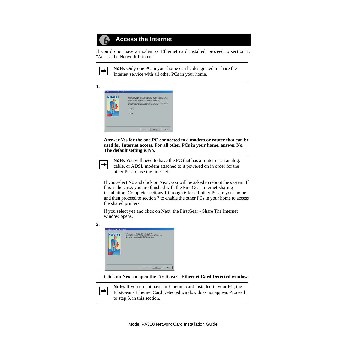#### **Access the Internet**6

If you do not have a modem or Ethernet card installed, proceed to section 7, "Access the Network Printer."

| $\vert$ Note: Only one PC in your home can be designated to share the |
|-----------------------------------------------------------------------|
| I Internet service with all other PCs in your home.                   |

**1.**

 $\rightarrow$ 

| FirstGenr - Internet Sharing Page<br><b>NETGEAR</b> | If you currently use this PC to access the listensit you conjugation<br>shere your increat service with all other PC's is your home in order to<br>do a p. you must leave this PC powered ON at all times.<br>Disjuito conenty use this PC to access the hiertex and would you like<br>to disper first service with all other PC's in your home?<br>F-Yes<br><b>Citize</b> |
|-----------------------------------------------------|----------------------------------------------------------------------------------------------------------------------------------------------------------------------------------------------------------------------------------------------------------------------------------------------------------------------------------------------------------------------------|
|                                                     | <b>CITARS</b><br>North<br>Centriol                                                                                                                                                                                                                                                                                                                                         |

**Answer Yes for the one PC connected to a modem or router that can be used for Internet access. For all other PCs in your home, answer No. The default setting is No.**



**Note:** You will need to have the PC that has a router or an analog, cable, or ADSL modem attached to it powered on in order for the other PCs to use the Internet.

If you select No and click on Next, you will be asked to reboot the system. If this is the case, you are finished with the FirstGear Internet-sharing installation. Complete sections 1 through 6 for all other PCs in your home, and then proceed to section 7 to enable the other PCs in your home to access the shared printers.

If you select yes and click on Next, the FirstGear - Share The Internet window opens.

**2.**



**Click on Next to open the FirstGear - Ethernet Card Detected window.**

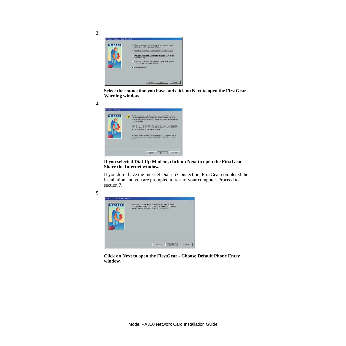| <b>NETGEAR</b> | FirstGear has detected an Ethernet part in your system. Please.<br>make are of the following selections below:                                                                                   |
|----------------|--------------------------------------------------------------------------------------------------------------------------------------------------------------------------------------------------|
|                | 6 The Ethernet port is connected to a Cable or ADSL moderni                                                                                                                                      |
|                | C The Ethernet port is connected to a router (e.g. SEIN router or<br>Trotuos 1920BV<br>C. This computer will use Did-Up Modernile a 56K analog moderni<br>or ISDN modern) to connect to internet |
|                | C. None in the show.                                                                                                                                                                             |
|                |                                                                                                                                                                                                  |

**Select the connection you have and click on Next to open the FirstGear - Warning window.**

**4.**



**If you selected Dial-Up Modem, click on Next to open the FirstGear - Share the Internet window.**

If you don't have the Internet Dial-up Connection, FirstGear completed the installation and you are prompted to restart your computer. Proceed to section 7.



**Click on Next to open the FirstGear - Choose Default Phone Entry window.**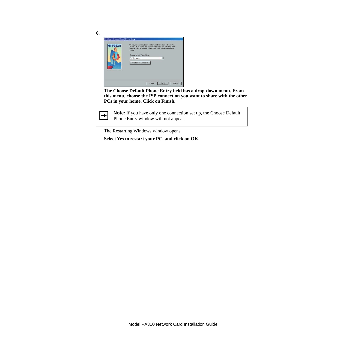| Choose Detault Phone Entry             |  |
|----------------------------------------|--|
| My Cannection<br>Create New Connection |  |
|                                        |  |

**The Choose Default Phone Entry field has a drop-down menu. From this menu, choose the ISP connection you want to share with the other PCs in your home. Click on Finish.**

 $\rightarrow$ 

**Note:** If you have only one connection set up, the Choose Default Phone Entry window will not appear.

The Restarting Windows window opens.

**Select Yes to restart your PC, and click on OK.**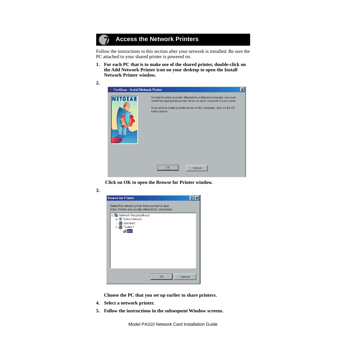# **Access the Network Printers**

Follow the instructions in this section after your network is installed. Be sure the PC attached to your shared printer is powered on.

**1. For each PC that is to make use of the shared printer, double-click on the Add Network Printer icon on your desktop to open the Install Network Printer window.**



 **Click on OK to open the Browse for Printer window.**

| Note: Printers are usually attached to computers.                                                                    | Select the network printer that you want to add. |  |
|----------------------------------------------------------------------------------------------------------------------|--------------------------------------------------|--|
| ⊟--- Pall Network Neighborhood<br><b>Entire Network</b><br>$\overline{+}$<br>Gameer2<br>Tester-1<br>Ėŀ<br>$\leq$ ibm |                                                  |  |

**Choose the PC that you set up earlier to share printers.**

- **4. Select a network printer.**
- **5. Follow the instructions in the subsequent Window screens.**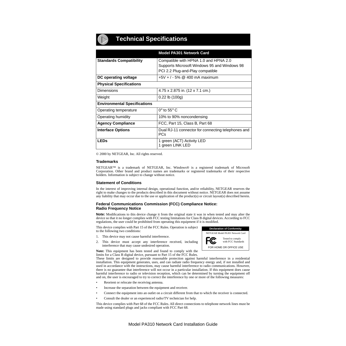### **Technical Specifications**

|                                     | <b>Model PA301 Network Card</b>                                                                                           |
|-------------------------------------|---------------------------------------------------------------------------------------------------------------------------|
| <b>Standards Compatibility</b>      | Compatible with HPNA 1.0 and HPNA 2.0<br>Supports Microsoft Windows 95 and Windows 98<br>PCI 2.2 Plug-and-Play compatible |
| DC operating voltage                | $+5V + 7 - 5%$ @ 400 mA maximum                                                                                           |
| <b>Physical Specifications</b>      |                                                                                                                           |
| Dimensions                          | 4.75 x 2.875 in. (12 x 7.1 cm.)                                                                                           |
| Weight                              | $0.22$ lb $(100g)$                                                                                                        |
| <b>Environmental Specifications</b> |                                                                                                                           |
| Operating temperature               | $0^\circ$ to 55 $^\circ$ C                                                                                                |
| Operating humidity                  | 10% to 90% noncondensing                                                                                                  |
| <b>Agency Compliance</b>            | FCC, Part 15, Class B, Part 68                                                                                            |
| <b>Interface Options</b>            | Dual RJ-11 connector for connecting telephones and<br><b>PCs</b>                                                          |
| <b>LEDs</b>                         | 1 green (ACT) Activity LED<br>1 green LINK LED                                                                            |

© 2000 by NETGEAR, Inc. All rights reserved.

#### **Trademarks**

NETGEAR™ is a trademark of NETGEAR, Inc. Windows® is a registered trademark of Microsoft Corporation. Other brand and product names are trademarks or registered trademarks of their respective holders. Information is subject to change without notice.

#### **Statement of Conditions**

In the interest of improving internal design, operational function, and/or reliability, NETGEAR reserves the right to make changes to the products described in this document without notice. NETGEAR does not assume any liability that may occur due to the use or application of the product(s) or circuit layout(s) described herein.

#### **Federal Communications Commission (FCC) Compliance Notice: Radio Frequency Notice**

**Note:** Modifications to this device change it from the original state it was in when tested and may alter the device so that it no longer complies with FCC testing limitations for Class B digital devices. According to FCC regulations, the user could be prohibited from operating this equipment if it is modified.

This device complies with Part 15 of the FCC Rules. Operation is subject to the following two conditions:

- 1. This device may not cause harmful interference.
- This device must accept any interference received, including interference that may cause undesired operation.

**Note:** This equipment has been tested and found to comply with the limits for a Class B digital device, pursuant to Part 15 of the FCC Rules.

These limits are designed to provide reasonable protection against harmful interference in a residential installation. This equipment generates, uses, and can radiate radio frequency energy and, if not installed and used in accordance with the instructions, may cause harmful interference to radio communications. However, there is no guarantee that interference will not occur in a particular installation. If this equipment does cause harmful interference to radio or television reception, which can be determined by turning the equipment off and on, the user is encouraged to try to correct the interference by one or more of the following measures:

- Reorient or relocate the receiving antenna.
- Increase the separation between the equipment and receiver.
- Connect the equipment into an outlet on a circuit different from that to which the receiver is connected.
- Consult the dealer or an experienced radio/TV technician for help.

This device complies with Part 68 of the FCC Rules. All direct connections to telephone network lines must be made using standard plugs and jacks compliant with FCC Part 68.

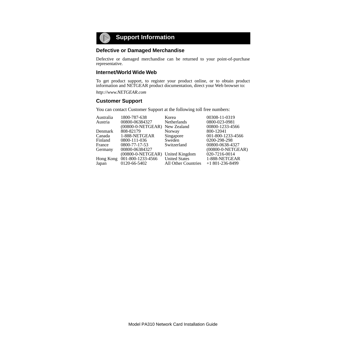

#### **Defective or Damaged Merchandise**

Defective or damaged merchandise can be returned to your point-of-purchase representative.

#### **Internet/World Wide Web**

To get product support, to register your product online, or to obtain product information and NETGEAR product documentation, direct your Web browser to:

*http://www.NETGEAR.com*

#### **Customer Support**

You can contact Customer Support at the following toll free numbers:

| 1800-787-638   | Korea                               | 00308-11-0319                                                     |
|----------------|-------------------------------------|-------------------------------------------------------------------|
| 00800-06384327 | Netherlands                         | 0800-023-0981                                                     |
|                |                                     | 00800-1233-4566                                                   |
| 808-82179      | Norway                              | 800-12041                                                         |
| 1-888-NETGEAR  | Singapore                           | 001-800-1233-4566                                                 |
| 0800-111-036   | Sweden                              | 0200-298-298                                                      |
| 0800-77-17-53  | Switzerland                         | 00800-0638-4327                                                   |
|                |                                     | (00800-0-NETGEAR)                                                 |
|                |                                     | 020-7216-0014                                                     |
|                | <b>United States</b>                | 1-888-NETGEAR                                                     |
| 0120-66-5402   | All Other Countries                 | $+1801-236-8499$                                                  |
|                | 00800-06384327<br>001-800-1233-4566 | (00800-0-NETGEAR) New Zealand<br>(00800-0-NETGEAR) United Kingdom |